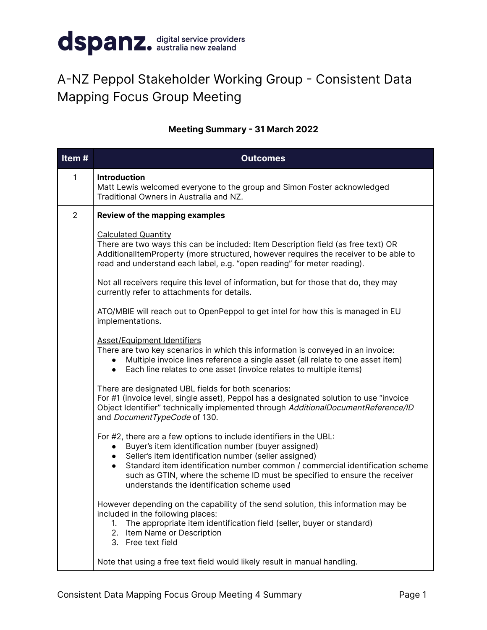

## A-NZ Peppol Stakeholder Working Group - Consistent Data Mapping Focus Group Meeting

## **Meeting Summary - 31 March 2022**

| Item#          | <b>Outcomes</b>                                                                                                                                                                                                                                                                                                                                                                                              |
|----------------|--------------------------------------------------------------------------------------------------------------------------------------------------------------------------------------------------------------------------------------------------------------------------------------------------------------------------------------------------------------------------------------------------------------|
| 1              | <b>Introduction</b><br>Matt Lewis welcomed everyone to the group and Simon Foster acknowledged<br>Traditional Owners in Australia and NZ.                                                                                                                                                                                                                                                                    |
| $\overline{2}$ | <b>Review of the mapping examples</b>                                                                                                                                                                                                                                                                                                                                                                        |
|                | <b>Calculated Quantity</b><br>There are two ways this can be included: Item Description field (as free text) OR<br>AdditionalItemProperty (more structured, however requires the receiver to be able to<br>read and understand each label, e.g. "open reading" for meter reading).                                                                                                                           |
|                | Not all receivers require this level of information, but for those that do, they may<br>currently refer to attachments for details.                                                                                                                                                                                                                                                                          |
|                | ATO/MBIE will reach out to OpenPeppol to get intel for how this is managed in EU<br>implementations.                                                                                                                                                                                                                                                                                                         |
|                | <b>Asset/Equipment Identifiers</b><br>There are two key scenarios in which this information is conveyed in an invoice:<br>Multiple invoice lines reference a single asset (all relate to one asset item)<br>• Each line relates to one asset (invoice relates to multiple items)                                                                                                                             |
|                | There are designated UBL fields for both scenarios:<br>For #1 (invoice level, single asset), Peppol has a designated solution to use "invoice<br>Object Identifier" technically implemented through AdditionalDocumentReference/ID<br>and DocumentTypeCode of 130.                                                                                                                                           |
|                | For #2, there are a few options to include identifiers in the UBL:<br>Buyer's item identification number (buyer assigned)<br>Seller's item identification number (seller assigned)<br>Standard item identification number common / commercial identification scheme<br>$\bullet$<br>such as GTIN, where the scheme ID must be specified to ensure the receiver<br>understands the identification scheme used |
|                | However depending on the capability of the send solution, this information may be<br>included in the following places:<br>The appropriate item identification field (seller, buyer or standard)<br>$1_{\cdot}$<br>2. Item Name or Description<br>3. Free text field                                                                                                                                          |
|                | Note that using a free text field would likely result in manual handling.                                                                                                                                                                                                                                                                                                                                    |